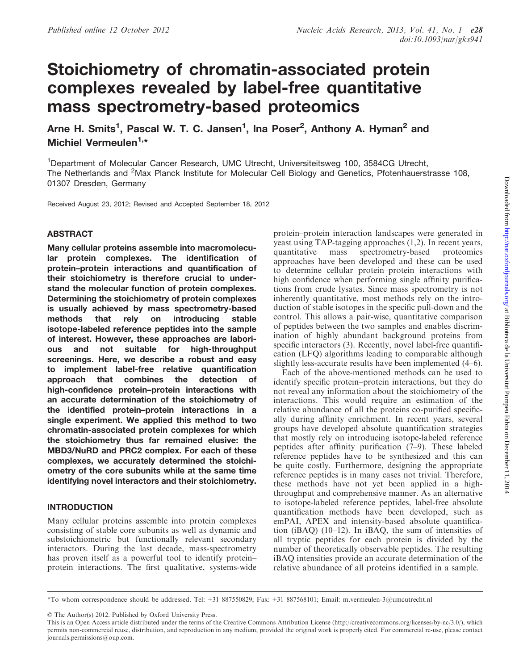# Stoichiometry of chromatin-associated protein complexes revealed by label-free quantitative mass spectrometry-based proteomics

Arne H. Smits<sup>1</sup>, Pascal W. T. C. Jansen<sup>1</sup>, Ina Poser<sup>2</sup>, Anthony A. Hyman<sup>2</sup> and Michiel Vermeulen<sup>1,\*</sup>

<sup>1</sup>Department of Molecular Cancer Research, UMC Utrecht, Universiteitsweg 100, 3584CG Utrecht, The Netherlands and <sup>2</sup>Max Planck Institute for Molecular Cell Biology and Genetics, Pfotenhauerstrasse 108, 01307 Dresden, Germany

Received August 23, 2012; Revised and Accepted September 18, 2012

# ABSTRACT

Many cellular proteins assemble into macromolecular protein complexes. The identification of protein–protein interactions and quantification of their stoichiometry is therefore crucial to understand the molecular function of protein complexes. Determining the stoichiometry of protein complexes is usually achieved by mass spectrometry-based methods that rely on introducing stable isotope-labeled reference peptides into the sample of interest. However, these approaches are laborious and not suitable for high-throughput screenings. Here, we describe a robust and easy to implement label-free relative quantification approach that combines the detection of high-confidence protein–protein interactions with an accurate determination of the stoichiometry of the identified protein–protein interactions in a single experiment. We applied this method to two chromatin-associated protein complexes for which the stoichiometry thus far remained elusive: the MBD3/NuRD and PRC2 complex. For each of these complexes, we accurately determined the stoichiometry of the core subunits while at the same time identifying novel interactors and their stoichiometry.

# INTRODUCTION

Many cellular proteins assemble into protein complexes consisting of stable core subunits as well as dynamic and substoichiometric but functionally relevant secondary interactors. During the last decade, mass-spectrometry has proven itself as a powerful tool to identify protein– protein interactions. The first qualitative, systems-wide protein–protein interaction landscapes were generated in yeast using TAP-tagging approaches ([1,2](#page-6-0)). In recent years, quantitative mass spectrometry-based proteomics approaches have been developed and these can be used to determine cellular protein–protein interactions with high confidence when performing single affinity purifications from crude lysates. Since mass spectrometry is not inherently quantitative, most methods rely on the introduction of stable isotopes in the specific pull-down and the control. This allows a pair-wise, quantitative comparison of peptides between the two samples and enables discrimination of highly abundant background proteins from specific interactors [\(3](#page-6-0)). Recently, novel label-free quantification (LFQ) algorithms leading to comparable although slightly less-accurate results have been implemented ([4–6\)](#page-6-0).

Each of the above-mentioned methods can be used to identify specific protein–protein interactions, but they do not reveal any information about the stoichiometry of the interactions. This would require an estimation of the relative abundance of all the proteins co-purified specifically during affinity enrichment. In recent years, several groups have developed absolute quantification strategies that mostly rely on introducing isotope-labeled reference peptides after affinity purification ([7–9\)](#page-6-0). These labeled reference peptides have to be synthesized and this can be quite costly. Furthermore, designing the appropriate reference peptides is in many cases not trivial. Therefore, these methods have not yet been applied in a highthroughput and comprehensive manner. As an alternative to isotope-labeled reference peptides, label-free absolute quantification methods have been developed, such as emPAI, APEX and intensity-based absolute quantification (iBAQ) ([10–12\)](#page-6-0). In iBAQ, the sum of intensities of all tryptic peptides for each protein is divided by the number of theoretically observable peptides. The resulting iBAQ intensities provide an accurate determination of the relative abundance of all proteins identified in a sample.

© The Author(s) 2012. Published by Oxford University Press.

<sup>\*</sup>To whom correspondence should be addressed. Tel: +31 887550829; Fax: +31 887568101; Email: m.vermeulen-3@umcutrecht.nl

This is an Open Access article distributed under the terms of the Creative Commons Attribution License (http://creativecommons.org/licenses/by-nc/3.0/), which permits non-commercial reuse, distribution, and reproduction in any medium, provided the original work is properly cited. For commercial re-use, please contact journals.permissions@oup.com.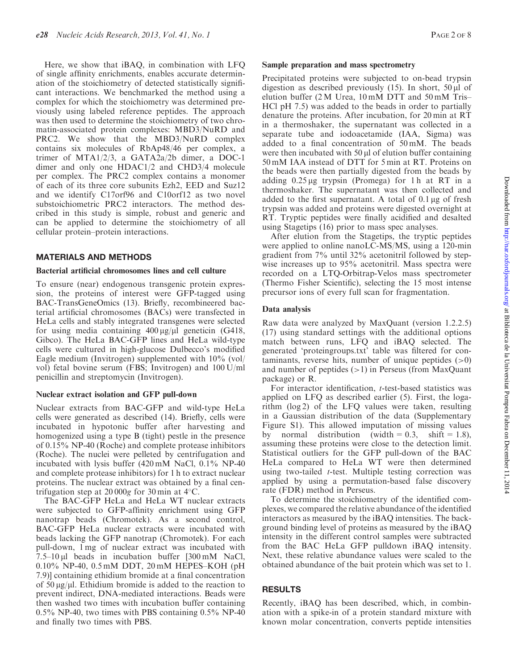Here, we show that iBAQ, in combination with LFQ of single affinity enrichments, enables accurate determination of the stoichiometry of detected statistically significant interactions. We benchmarked the method using a complex for which the stoichiometry was determined previously using labeled reference peptides. The approach was then used to determine the stoichiometry of two chromatin-associated protein complexes: MBD3/NuRD and PRC2. We show that the MBD3/NuRD complex contains six molecules of RbAp48/46 per complex, a trimer of MTA1/2/3, a GATA2a/2b dimer, a DOC-1 dimer and only one HDAC1/2 and CHD3/4 molecule per complex. The PRC2 complex contains a monomer of each of its three core subunits Ezh2, EED and Suz12 and we identify C17orf96 and C10orf12 as two novel substoichiometric PRC2 interactors. The method described in this study is simple, robust and generic and can be applied to determine the stoichiometry of all cellular protein–protein interactions.

### MATERIALS AND METHODS

#### Bacterial artificial chromosomes lines and cell culture

To ensure (near) endogenous transgenic protein expression, the proteins of interest were GFP-tagged using BAC-TransGeneOmics ([13\)](#page-7-0). Briefly, recombineered bacterial artificial chromosomes (BACs) were transfected in HeLa cells and stably integrated transgenes were selected for using media containing  $400 \mu g/\mu l$  geneticin (G418, Gibco). The HeLa BAC-GFP lines and HeLa wild-type cells were cultured in high-glucose Dulbecco's modified Eagle medium (Invitrogen) supplemented with 10% (vol/ vol) fetal bovine serum (FBS; Invitrogen) and 100 U/ml penicillin and streptomycin (Invitrogen).

#### Nuclear extract isolation and GFP pull-down

Nuclear extracts from BAC-GFP and wild-type HeLa cells were generated as described [\(14](#page-7-0)). Briefly, cells were incubated in hypotonic buffer after harvesting and homogenized using a type B (tight) pestle in the presence of 0.15% NP-40 (Roche) and complete protease inhibitors (Roche). The nuclei were pelleted by centrifugation and incubated with lysis buffer (420 mM NaCl, 0.1% NP-40 and complete protease inhibitors) for 1 h to extract nuclear proteins. The nuclear extract was obtained by a final centrifugation step at  $20000g$  for 30 min at  $4^{\circ}$ C.

The BAC-GFP HeLa and HeLa WT nuclear extracts were subjected to GFP-affinity enrichment using GFP nanotrap beads (Chromotek). As a second control, BAC-GFP HeLa nuclear extracts were incubated with beads lacking the GFP nanotrap (Chromotek). For each pull-down, 1 mg of nuclear extract was incubated with  $7.5-10 \,\mu$ l beads in incubation buffer [300 mM NaCl, 0.10% NP-40, 0.5 mM DDT, 20 mM HEPES–KOH (pH 7.9)] containing ethidium bromide at a final concentration of 50  $\mu$ g/ $\mu$ l. Ethidium bromide is added to the reaction to prevent indirect, DNA-mediated interactions. Beads were then washed two times with incubation buffer containing 0.5% NP-40, two times with PBS containing 0.5% NP-40 and finally two times with PBS.

#### Sample preparation and mass spectrometry

Precipitated proteins were subjected to on-bead trypsin digestion as described previously ([15\)](#page-7-0). In short,  $50 \mu l$  of elution buffer (2 M Urea, 10 mM DTT and 50 mM Tris– HCl pH 7.5) was added to the beads in order to partially denature the proteins. After incubation, for 20 min at RT in a thermoshaker, the supernatant was collected in a separate tube and iodoacetamide (IAA, Sigma) was added to a final concentration of 50 mM. The beads were then incubated with  $50 \mu$  of elution buffer containing 50 mM IAA instead of DTT for 5 min at RT. Proteins on the beads were then partially digested from the beads by adding  $0.25 \mu g$  trypsin (Promega) for 1h at RT in a thermoshaker. The supernatant was then collected and added to the first supernatant. A total of 0.1 µg of fresh trypsin was added and proteins were digested overnight at RT. Tryptic peptides were finally acidified and desalted using Stagetips [\(16](#page-7-0)) prior to mass spec analyses.

After elution from the Stagetips, the tryptic peptides were applied to online nanoLC-MS/MS, using a 120-min gradient from 7% until 32% acetonitril followed by stepwise increases up to 95% acetonitril. Mass spectra were recorded on a LTQ-Orbitrap-Velos mass spectrometer (Thermo Fisher Scientific), selecting the 15 most intense precursor ions of every full scan for fragmentation.

#### Data analysis

Raw data were analyzed by MaxQuant (version 1.2.2.5) ([17\)](#page-7-0) using standard settings with the additional options match between runs, LFQ and iBAQ selected. The generated 'proteingroups.txt' table was filtered for contaminants, reverse hits, number of unique peptides  $(>0)$ and number of peptides  $(>1)$  in Perseus (from MaxQuant package) or R.

For interactor identification, t-test-based statistics was applied on LFQ as described earlier ([5\)](#page-6-0). First, the logarithm (log 2) of the LFQ values were taken, resulting in a Gaussian distribution of the data [\(Supplementary](http://nar.oxfordjournals.org/cgi/content/full/gks941/DC1) [Figure S1](http://nar.oxfordjournals.org/cgi/content/full/gks941/DC1)). This allowed imputation of missing values by normal distribution (width  $= 0.3$ , shift  $= 1.8$ ), assuming these proteins were close to the detection limit. Statistical outliers for the GFP pull-down of the BAC HeLa compared to HeLa WT were then determined using two-tailed t-test. Multiple testing correction was applied by using a permutation-based false discovery rate (FDR) method in Perseus.

To determine the stoichiometry of the identified complexes, we compared the relative abundance of the identified interactors as measured by the iBAQ intensities. The background binding level of proteins as measured by the iBAQ intensity in the different control samples were subtracted from the BAC HeLa GFP pulldown iBAQ intensity. Next, these relative abundance values were scaled to the obtained abundance of the bait protein which was set to 1.

# RESULTS

Recently, iBAQ has been described, which, in combination with a spike-in of a protein standard mixture with known molar concentration, converts peptide intensities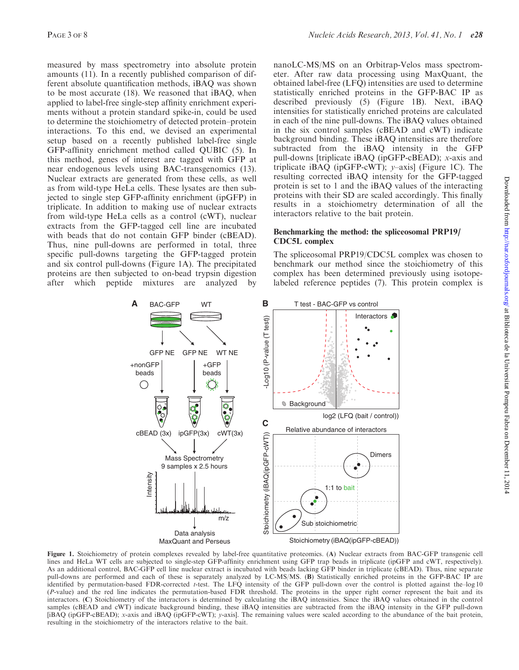measured by mass spectrometry into absolute protein amounts [\(11](#page-7-0)). In a recently published comparison of different absolute quantification methods, iBAQ was shown to be most accurate [\(18](#page-7-0)). We reasoned that iBAQ, when applied to label-free single-step affinity enrichment experiments without a protein standard spike-in, could be used to determine the stoichiometry of detected protein–protein interactions. To this end, we devised an experimental setup based on a recently published label-free single GFP-affinity enrichment method called QUBIC [\(5](#page-6-0)). In this method, genes of interest are tagged with GFP at near endogenous levels using BAC-transgenomics ([13\)](#page-7-0). Nuclear extracts are generated from these cells, as well as from wild-type HeLa cells. These lysates are then subjected to single step GFP-affinity enrichment (ipGFP) in triplicate. In addition to making use of nuclear extracts from wild-type HeLa cells as a control (cWT), nuclear extracts from the GFP-tagged cell line are incubated with beads that do not contain GFP binder (cBEAD). Thus, nine pull-downs are performed in total, three specific pull-downs targeting the GFP-tagged protein and six control pull-downs (Figure 1A). The precipitated proteins are then subjected to on-bead trypsin digestion after which peptide mixtures are analyzed by nanoLC-MS/MS on an Orbitrap-Velos mass spectrometer. After raw data processing using MaxQuant, the obtained label-free (LFQ) intensities are used to determine statistically enriched proteins in the GFP-BAC IP as described previously [\(5](#page-6-0)) (Figure 1B). Next, iBAQ intensities for statistically enriched proteins are calculated in each of the nine pull-downs. The iBAQ values obtained in the six control samples (cBEAD and cWT) indicate background binding. These iBAQ intensities are therefore subtracted from the iBAQ intensity in the GFP pull-downs [triplicate iBAQ (ipGFP-cBEAD); x-axis and triplicate iBAQ (ipGFP-cWT);  $y$ -axis] (Figure 1C). The resulting corrected iBAQ intensity for the GFP-tagged protein is set to 1 and the iBAQ values of the interacting proteins with their SD are scaled accordingly. This finally results in a stoichiometry determination of all the interactors relative to the bait protein.

#### Benchmarking the method: the spliceosomal PRP19/ CDC5L complex

The spliceosomal PRP19/CDC5L complex was chosen to benchmark our method since the stoichiometry of this complex has been determined previously using isotopelabeled reference peptides ([7\)](#page-6-0). This protein complex is



Figure 1. Stoichiometry of protein complexes revealed by label-free quantitative proteomics. (A) Nuclear extracts from BAC-GFP transgenic cell lines and HeLa WT cells are subjected to single-step GFP-affinity enrichment using GFP trap beads in triplicate (ipGFP and cWT, respectively). As an additional control, BAC-GFP cell line nuclear extract is incubated with beads lacking GFP binder in triplicate (cBEAD). Thus, nine separate pull-downs are performed and each of these is separately analyzed by LC-MS/MS. (B) Statistically enriched proteins in the GFP-BAC IP are identified by permutation-based FDR-corrected t-test. The LFQ intensity of the GFP pull-down over the control is plotted against the–log 10 (P-value) and the red line indicates the permutation-based FDR threshold. The proteins in the upper right corner represent the bait and its interactors. (C) Stoichiometry of the interactors is determined by calculating the iBAQ intensities. Since the iBAQ values obtained in the control samples (cBEAD and cWT) indicate background binding, these iBAQ intensities are subtracted from the iBAQ intensity in the GFP pull-down [iBAQ (ipGFP-cBEAD); x-axis and iBAQ (ipGFP-cWT); y-axis]. The remaining values were scaled according to the abundance of the bait protein, resulting in the stoichiometry of the interactors relative to the bait.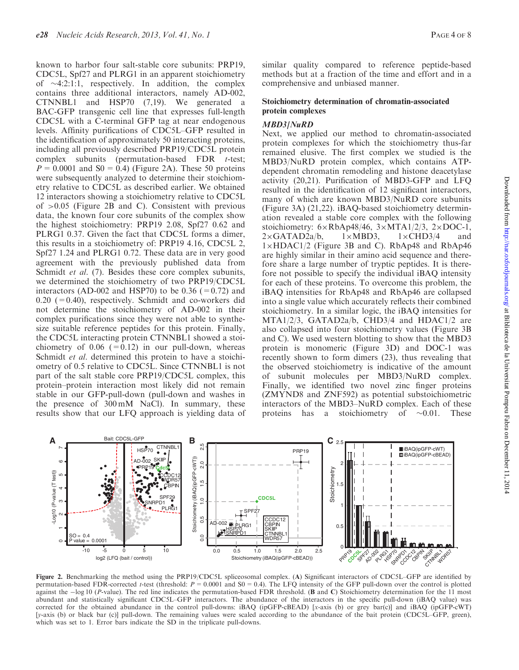<span id="page-3-0"></span>known to harbor four salt-stable core subunits: PRP19, CDC5L, Spf27 and PLRG1 in an apparent stoichiometry of  $\sim$ 4:2:1:1, respectively. In addition, the complex contains three additional interactors, namely AD-002, CTNNBL1 and HSP70 ([7,](#page-6-0)[19](#page-7-0)). We generated a BAC-GFP transgenic cell line that expresses full-length CDC5L with a C-terminal GFP tag at near endogenous levels. Affinity purifications of CDC5L–GFP resulted in the identification of approximately 50 interacting proteins, including all previously described PRP19/CDC5L protein complex subunits (permutation-based FDR t-test;  $P = 0.0001$  and  $S = 0.4$ ) (Figure 2A). These 50 proteins were subsequently analyzed to determine their stoichiometry relative to CDC5L as described earlier. We obtained 12 interactors showing a stoichiometry relative to CDC5L of >0.05 (Figure 2B and C). Consistent with previous data, the known four core subunits of the complex show the highest stoichiometry: PRP19 2.08, Spf27 0.62 and PLRG1 0.37. Given the fact that CDC5L forms a dimer, this results in a stoichiometry of: PRP19 4.16, CDC5L 2, Spf27 1.24 and PLRG1 0.72. These data are in very good agreement with the previously published data from Schmidt et al. ([7\)](#page-6-0). Besides these core complex subunits, we determined the stoichiometry of two PRP19/CDC5L interactors (AD-002 and HSP70) to be 0.36 ( $= 0.72$ ) and  $0.20$  (=0.40), respectively. Schmidt and co-workers did not determine the stoichiometry of AD-002 in their complex purifications since they were not able to synthesize suitable reference peptides for this protein. Finally, the CDC5L interacting protein CTNNBL1 showed a stoichiometry of  $0.06$  (=0.12) in our pull-down, whereas Schmidt et al. determined this protein to have a stoichiometry of 0.5 relative to CDC5L. Since CTNNBL1 is not part of the salt stable core PRP19/CDC5L complex, this protein–protein interaction most likely did not remain stable in our GFP-pull-down (pull-down and washes in the presence of 300 mM NaCl). In summary, these results show that our LFQ approach is yielding data of

similar quality compared to reference peptide-based methods but at a fraction of the time and effort and in a comprehensive and unbiased manner.

# Stoichiometry determination of chromatin-associated protein complexes

# MBD3/NuRD

Next, we applied our method to chromatin-associated protein complexes for which the stoichiometry thus-far remained elusive. The first complex we studied is the MBD3/NuRD protein complex, which contains ATPdependent chromatin remodeling and histone deacetylase activity ([20,21](#page-7-0)). Purification of MBD3-GFP and LFQ resulted in the identification of 12 significant interactors, many of which are known MBD3/NuRD core subunits ([Figure 3](#page-4-0)A) ([21,22](#page-7-0)). iBAQ-based stoichiometry determination revealed a stable core complex with the following stoichiometry:  $6 \times \text{RbAp48/46}$ ,  $3 \times \text{MTA1/2/3}$ ,  $2 \times \text{DOC-1}$ ,  $2 \times$ GATAD2a/b,  $1 \times$ MBD3,  $1 \times$ CHD3/4 and 1×HDAC1/2 [\(Figure 3](#page-4-0)B and C). RbAp48 and RbAp46 are highly similar in their amino acid sequence and therefore share a large number of tryptic peptides. It is therefore not possible to specify the individual iBAQ intensity for each of these proteins. To overcome this problem, the iBAQ intensities for RbAp48 and RbAp46 are collapsed into a single value which accurately reflects their combined stoichiometry. In a similar logic, the iBAQ intensities for MTA1/2/3, GATAD2a/b, CHD3/4 and HDAC1/2 are also collapsed into four stoichiometry values ([Figure 3B](#page-4-0) and C). We used western blotting to show that the MBD3 protein is monomeric ([Figure 3](#page-4-0)D) and DOC-1 was recently shown to form dimers ([23\)](#page-7-0), thus revealing that the observed stoichiometry is indicative of the amount of subunit molecules per MBD3/NuRD complex. Finally, we identified two novel zinc finger proteins (ZMYND8 and ZNF592) as potential substoichiometric interactors of the MBD3–NuRD complex. Each of these proteins has a stoichiometry of  $\sim 0.01$ . These



Figure 2. Benchmarking the method using the PRP19/CDC5L spliceosomal complex. (A) Significant interactors of CDC5L–GFP are identified by permutation-based FDR-corrected t-test (threshold:  $P = 0.0001$  and  $S0 = 0.4$ ). The LFQ intensity of the GFP pull-down over the control is plotted against the  $-\log 10$  (P-value). The red line indicates the permutation-based FDR threshold. (B and C) Stoichiometry determination for the 11 most abundant and statistically significant CDC5L–GFP interactors. The abundance of the interactors in the specific pull-down (iBAQ value) was corrected for the obtained abundance in the control pull-downs: iBAQ (ipGFP-cBEAD) [x-axis (b) or grey bar(c)] and iBAQ (ipGFP-cWT) [y-axis (b) or black bar (c)] pull-down. The remaining values were scaled according to the abundance of the bait protein (CDC5L–GFP, green), which was set to 1. Error bars indicate the SD in the triplicate pull-downs.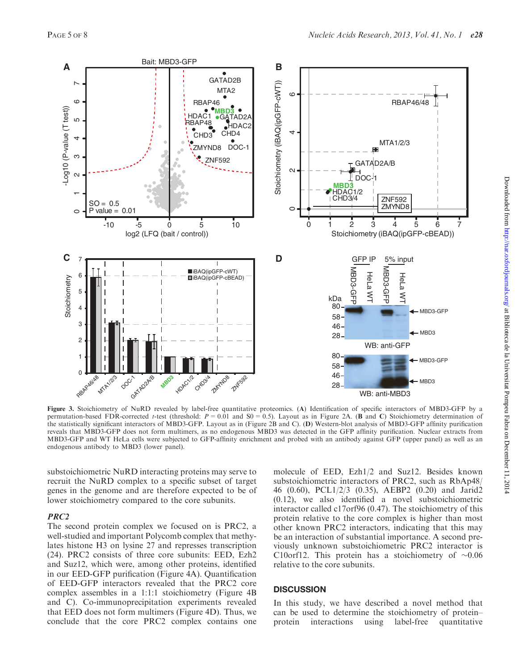<span id="page-4-0"></span>

Figure 3. Stoichiometry of NuRD revealed by label-free quantitative proteomics. (A) Identification of specific interactors of MBD3-GFP by a permutation-based FDR-corrected t-test (threshold:  $P = 0.01$  and  $S = 0.5$ ). Layout as in [Figure 2A](#page-3-0). (B and C) Stoichiometry determination of the statistically significant interactors of MBD3-GFP. Layout as in [\(Figure 2](#page-3-0)B and C). (D) Western-blot analysis of MBD3-GFP affinity purification reveals that MBD3-GFP does not form multimers, as no endogenous MBD3 was detected in the GFP affinity purification. Nuclear extracts from MBD3-GFP and WT HeLa cells were subjected to GFP-affinity enrichment and probed with an antibody against GFP (upper panel) as well as an endogenous antibody to MBD3 (lower panel).

substoichiometric NuRD interacting proteins may serve to recruit the NuRD complex to a specific subset of target genes in the genome and are therefore expected to be of lower stoichiometry compared to the core subunits.

# PRC2

The second protein complex we focused on is PRC2, a well-studied and important Polycomb complex that methylates histone H3 on lysine 27 and represses transcription [\(24](#page-7-0)). PRC2 consists of three core subunits: EED, Ezh2 and Suz12, which were, among other proteins, identified in our EED-GFP purification ([Figure 4A](#page-5-0)). Quantification of EED-GFP interactors revealed that the PRC2 core complex assembles in a 1:1:1 stoichiometry [\(Figure 4](#page-5-0)B and C). Co-immunoprecipitation experiments revealed that EED does not form multimers ([Figure 4](#page-5-0)D). Thus, we conclude that the core PRC2 complex contains one molecule of EED, Ezh1/2 and Suz12. Besides known substoichiometric interactors of PRC2, such as RbAp48/ 46 (0.60), PCL1/2/3 (0.35), AEBP2 (0.20) and Jarid2 (0.12), we also identified a novel substoichiometric interactor called c17orf96 (0.47). The stoichiometry of this protein relative to the core complex is higher than most other known PRC2 interactors, indicating that this may be an interaction of substantial importance. A second previously unknown substoichiometric PRC2 interactor is C10orf12. This protein has a stoichiometry of  $\sim 0.06$ relative to the core subunits.

# **DISCUSSION**

In this study, we have described a novel method that can be used to determine the stoichiometry of protein– protein interactions using label-free quantitative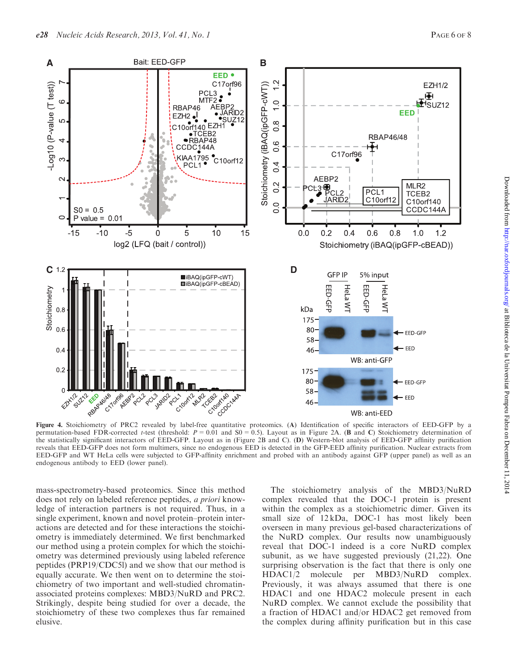

<span id="page-5-0"></span>

Figure 4. Stoichiometry of PRC2 revealed by label-free quantitative proteomics. (A) Identification of specific interactors of EED-GFP by a permutation-based FDR-corrected t-test (threshold:  $P = 0.01$  and  $S0 = 0.5$ ). Layout as in [Figure 2A](#page-3-0). (**B** and **C**) Stoichiometry determination of the statistically significant interactors of EED-GFP. Layout as in ([Figure 2](#page-3-0)B and C). (D) Western-blot analysis of EED-GFP affinity purification reveals that EED-GFP does not form multimers, since no endogenous EED is detected in the GFP-EED affinity purification. Nuclear extracts from EED-GFP and WT HeLa cells were subjected to GFP-affinity enrichment and probed with an antibody against GFP (upper panel) as well as an endogenous antibody to EED (lower panel).

mass-spectrometry-based proteomics. Since this method does not rely on labeled reference peptides, a priori knowledge of interaction partners is not required. Thus, in a single experiment, known and novel protein–protein interactions are detected and for these interactions the stoichiometry is immediately determined. We first benchmarked our method using a protein complex for which the stoichiometry was determined previously using labeled reference peptides (PRP19/CDC5l) and we show that our method is equally accurate. We then went on to determine the stoichiometry of two important and well-studied chromatinassociated proteins complexes: MBD3/NuRD and PRC2. Strikingly, despite being studied for over a decade, the stoichiometry of these two complexes thus far remained elusive.

The stoichiometry analysis of the MBD3/NuRD complex revealed that the DOC-1 protein is present within the complex as a stoichiometric dimer. Given its small size of 12 kDa, DOC-1 has most likely been overseen in many previous gel-based characterizations of the NuRD complex. Our results now unambiguously reveal that DOC-1 indeed is a core NuRD complex subunit, as we have suggested previously ([21,22](#page-7-0)). One surprising observation is the fact that there is only one HDAC1/2 molecule per MBD3/NuRD complex. Previously, it was always assumed that there is one HDAC1 and one HDAC2 molecule present in each NuRD complex. We cannot exclude the possibility that a fraction of HDAC1 and/or HDAC2 get removed from the complex during affinity purification but in this case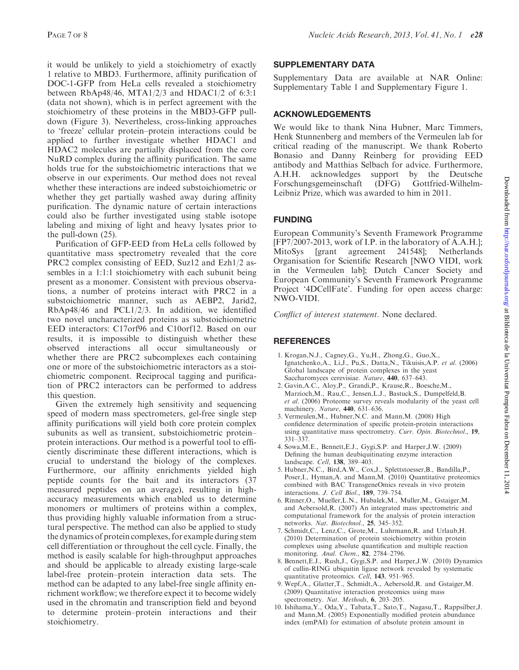<span id="page-6-0"></span>it would be unlikely to yield a stoichiometry of exactly 1 relative to MBD3. Furthermore, affinity purification of DOC-1-GFP from HeLa cells revealed a stoichiometry between RbAp48/46, MTA1/2/3 and HDAC1/2 of 6:3:1 (data not shown), which is in perfect agreement with the stoichiometry of these proteins in the MBD3-GFP pulldown [\(Figure 3\)](#page-4-0). Nevertheless, cross-linking approaches to 'freeze' cellular protein–protein interactions could be applied to further investigate whether HDAC1 and HDAC2 molecules are partially displaced from the core NuRD complex during the affinity purification. The same holds true for the substoichiometric interactions that we observe in our experiments. Our method does not reveal whether these interactions are indeed substoichiometric or whether they get partially washed away during affinity purification. The dynamic nature of certain interactions could also be further investigated using stable isotope labeling and mixing of light and heavy lysates prior to the pull-down [\(25](#page-7-0)).

Purification of GFP-EED from HeLa cells followed by quantitative mass spectrometry revealed that the core PRC2 complex consisting of EED, Suz12 and Ezh1/2 assembles in a 1:1:1 stoichiometry with each subunit being present as a monomer. Consistent with previous observations, a number of proteins interact with PRC2 in a substoichiometric manner, such as AEBP2, Jarid2, RbAp48/46 and PCL1/2/3. In addition, we identified two novel uncharacterized proteins as substoichiometric EED interactors: C17orf96 and C10orf12. Based on our results, it is impossible to distinguish whether these observed interactions all occur simultaneously or whether there are PRC2 subcomplexes each containing one or more of the substoichiometric interactors as a stoichiometric component. Reciprocal tagging and purification of PRC2 interactors can be performed to address this question.

Given the extremely high sensitivity and sequencing speed of modern mass spectrometers, gel-free single step affinity purifications will yield both core protein complex subunits as well as transient, substoichiometric protein– protein interactions. Our method is a powerful tool to efficiently discriminate these different interactions, which is crucial to understand the biology of the complexes. Furthermore, our affinity enrichments yielded high peptide counts for the bait and its interactors (37 measured peptides on an average), resulting in highaccuracy measurements which enabled us to determine monomers or multimers of proteins within a complex, thus providing highly valuable information from a structural perspective. The method can also be applied to study the dynamics of protein complexes, for example during stem cell differentiation or throughout the cell cycle. Finally, the method is easily scalable for high-throughput approaches and should be applicable to already existing large-scale label-free protein–protein interaction data sets. The method can be adapted to any label-free single affinity enrichment workflow; we therefore expect it to become widely used in the chromatin and transcription field and beyond to determine protein–protein interactions and their stoichiometry.

# SUPPLEMENTARY DATA

[Supplementary Data](http://nar.oxfordjournals.org/cgi/content/full/gks941/DC1) are available at NAR Online: Supplementary Table 1 and Supplementary Figure 1.

# ACKNOWLEDGEMENTS

We would like to thank Nina Hubner, Marc Timmers, Henk Stunnenberg and members of the Vermeulen lab for critical reading of the manuscript. We thank Roberto Bonasio and Danny Reinberg for providing EED antibody and Matthias Selbach for advice. Furthermore, A.H.H. acknowledges support by the Deutsche Forschungsgemeinschaft (DFG) Gottfried-Wilhelm-Leibniz Prize, which was awarded to him in 2011.

# FUNDING

European Community's Seventh Framework Programme [FP7/2007-2013, work of I.P. in the laboratory of A.A.H.]; MitoSys [grant agreement 241548]; Netherlands Organisation for Scientific Research [NWO VIDI, work in the Vermeulen lab]; Dutch Cancer Society and European Community's Seventh Framework Programme Project '4DCellFate'. Funding for open access charge: NWO-VIDI.

Conflict of interest statement. None declared.

# **REFERENCES**

- 1. Krogan,N.J., Cagney,G., Yu,H., Zhong,G., Guo,X., Ignatchenko,A., Li,J., Pu,S., Datta,N., Tikuisis,A.P. et al. (2006) Global landscape of protein complexes in the yeast Saccharomyces cerevisiae. Nature, 440, 637–643.
- 2. Gavin,A.C., Aloy,P., Grandi,P., Krause,R., Boesche,M., Marzioch,M., Rau,C., Jensen,L.J., Bastuck,S., Dumpelfeld,B. et al. (2006) Proteome survey reveals modularity of the yeast cell machinery. Nature, 440, 631-636.
- 3. Vermeulen,M., Hubner,N.C. and Mann,M. (2008) High confidence determination of specific protein-protein interactions using quantitative mass spectrometry. Curr. Opin. Biotechnol., 19, 331–337.
- 4. Sowa,M.E., Bennett,E.J., Gygi,S.P. and Harper,J.W. (2009) Defining the human deubiquitinating enzyme interaction landscape. Cell, 138, 389–403.
- 5. Hubner,N.C., Bird,A.W., Cox,J., Splettstoesser,B., Bandilla,P., Poser,I., Hyman,A. and Mann,M. (2010) Quantitative proteomics combined with BAC TransgeneOmics reveals in vivo protein interactions. J. Cell Biol., 189, 739–754.
- 6. Rinner,O., Mueller,L.N., Hubalek,M., Muller,M., Gstaiger,M. and Aebersold,R. (2007) An integrated mass spectrometric and computational framework for the analysis of protein interaction networks. Nat. Biotechnol., 25, 345–352.
- 7. Schmidt,C., Lenz,C., Grote,M., Luhrmann,R. and Urlaub,H. (2010) Determination of protein stoichiometry within protein complexes using absolute quantification and multiple reaction monitoring. Anal. Chem., 82, 2784–2796.
- 8. Bennett,E.J., Rush,J., Gygi,S.P. and Harper,J.W. (2010) Dynamics of cullin-RING ubiquitin ligase network revealed by systematic quantitative proteomics. Cell, 143, 951-965.
- 9. Wepf,A., Glatter,T., Schmidt,A., Aebersold,R. and Gstaiger,M. (2009) Quantitative interaction proteomics using mass spectrometry. Nat. Methods, 6, 203–205.
- 10. Ishihama,Y., Oda,Y., Tabata,T., Sato,T., Nagasu,T., Rappsilber,J. and Mann,M. (2005) Exponentially modified protein abundance index (emPAI) for estimation of absolute protein amount in